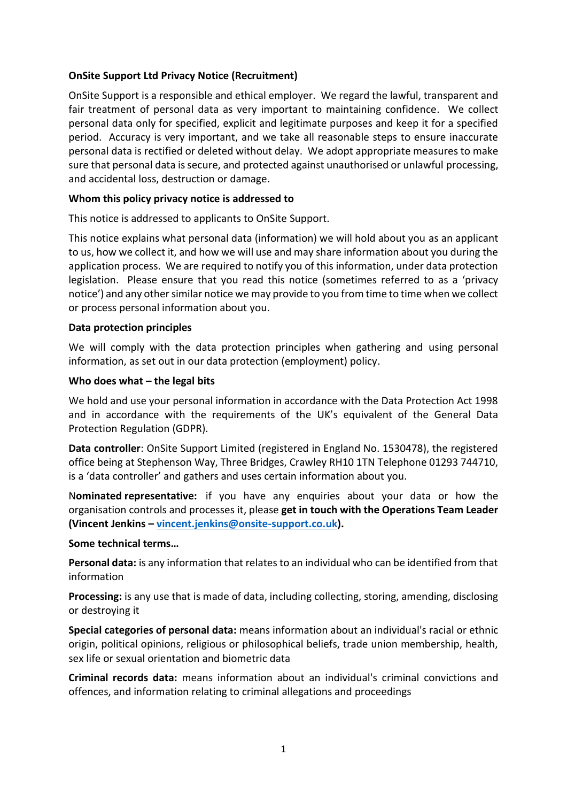## **OnSite Support Ltd Privacy Notice (Recruitment)**

OnSite Support is a responsible and ethical employer. We regard the lawful, transparent and fair treatment of personal data as very important to maintaining confidence. We collect personal data only for specified, explicit and legitimate purposes and keep it for a specified period. Accuracy is very important, and we take all reasonable steps to ensure inaccurate personal data is rectified or deleted without delay. We adopt appropriate measures to make sure that personal data is secure, and protected against unauthorised or unlawful processing, and accidental loss, destruction or damage.

#### **Whom this policy privacy notice is addressed to**

This notice is addressed to applicants to OnSite Support.

This notice explains what personal data (information) we will hold about you as an applicant to us, how we collect it, and how we will use and may share information about you during the application process. We are required to notify you of this information, under data protection legislation. Please ensure that you read this notice (sometimes referred to as a 'privacy notice') and any other similar notice we may provide to you from time to time when we collect or process personal information about you.

### **Data protection principles**

We will comply with the data protection principles when gathering and using personal information, as set out in our data protection (employment) policy.

#### **Who does what – the legal bits**

We hold and use your personal information in accordance with the Data Protection Act 1998 and in accordance with the requirements of the UK's equivalent of the General Data Protection Regulation (GDPR).

**Data controller**: OnSite Support Limited (registered in England No. 1530478), the registered office being at Stephenson Way, Three Bridges, Crawley RH10 1TN Telephone 01293 744710, is a 'data controller' and gathers and uses certain information about you.

N**ominated representative:** if you have any enquiries about your data or how the organisation controls and processes it, please **get in touch with the Operations Team Leader (Vincent Jenkins – [vincent.jenkins@onsite-support.co.uk\)](mailto:vincent.jenkins@onsite-support.co.uk).**

#### **Some technical terms…**

**Personal data:** is any information that relates to an individual who can be identified from that information

**Processing:** is any use that is made of data, including collecting, storing, amending, disclosing or destroying it

**Special categories of personal data:** means information about an individual's racial or ethnic origin, political opinions, religious or philosophical beliefs, trade union membership, health, sex life or sexual orientation and biometric data

**Criminal records data:** means information about an individual's criminal convictions and offences, and information relating to criminal allegations and proceedings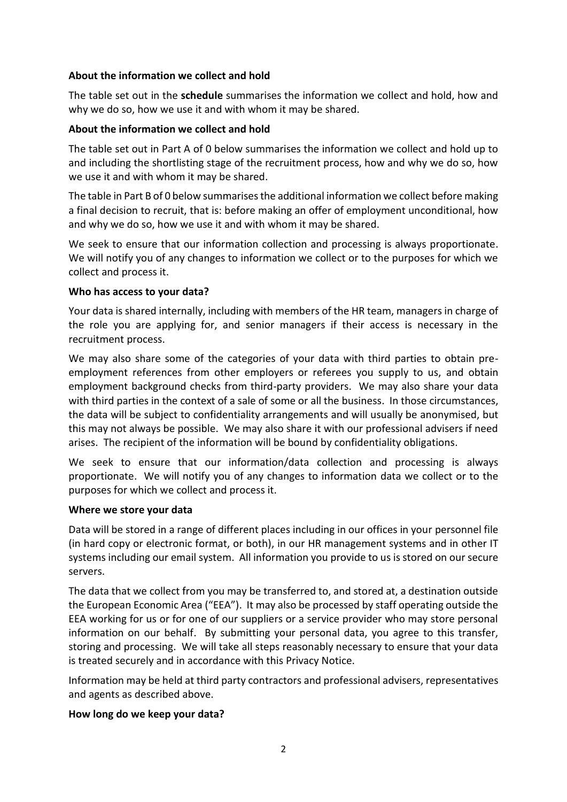## **About the information we collect and hold**

The table set out in the **schedule** summarises the information we collect and hold, how and why we do so, how we use it and with whom it may be shared.

## **About the information we collect and hold**

The table set out in [Part A](#page-4-0) of [0](#page-4-1) below summarises the information we collect and hold up to and including the shortlisting stage of the recruitment process, how and why we do so, how we use it and with whom it may be shared.

The table i[n Part B](#page-5-0) of [0](#page-4-1) below summarises the additional information we collect before making a final decision to recruit, that is: before making an offer of employment unconditional, how and why we do so, how we use it and with whom it may be shared.

We seek to ensure that our information collection and processing is always proportionate. We will notify you of any changes to information we collect or to the purposes for which we collect and process it.

### **Who has access to your data?**

Your data is shared internally, including with members of the HR team, managers in charge of the role you are applying for, and senior managers if their access is necessary in the recruitment process.

We may also share some of the categories of your data with third parties to obtain preemployment references from other employers or referees you supply to us, and obtain employment background checks from third-party providers. We may also share your data with third parties in the context of a sale of some or all the business. In those circumstances, the data will be subject to confidentiality arrangements and will usually be anonymised, but this may not always be possible. We may also share it with our professional advisers if need arises. The recipient of the information will be bound by confidentiality obligations.

We seek to ensure that our information/data collection and processing is always proportionate. We will notify you of any changes to information data we collect or to the purposes for which we collect and process it.

#### **Where we store your data**

Data will be stored in a range of different places including in our offices in your personnel file (in hard copy or electronic format, or both), in our HR management systems and in other IT systems including our email system. All information you provide to us is stored on our secure servers.

The data that we collect from you may be transferred to, and stored at, a destination outside the European Economic Area ("EEA"). It may also be processed by staff operating outside the EEA working for us or for one of our suppliers or a service provider who may store personal information on our behalf. By submitting your personal data, you agree to this transfer, storing and processing. We will take all steps reasonably necessary to ensure that your data is treated securely and in accordance with this Privacy Notice.

Information may be held at third party contractors and professional advisers, representatives and agents as described above.

#### **How long do we keep your data?**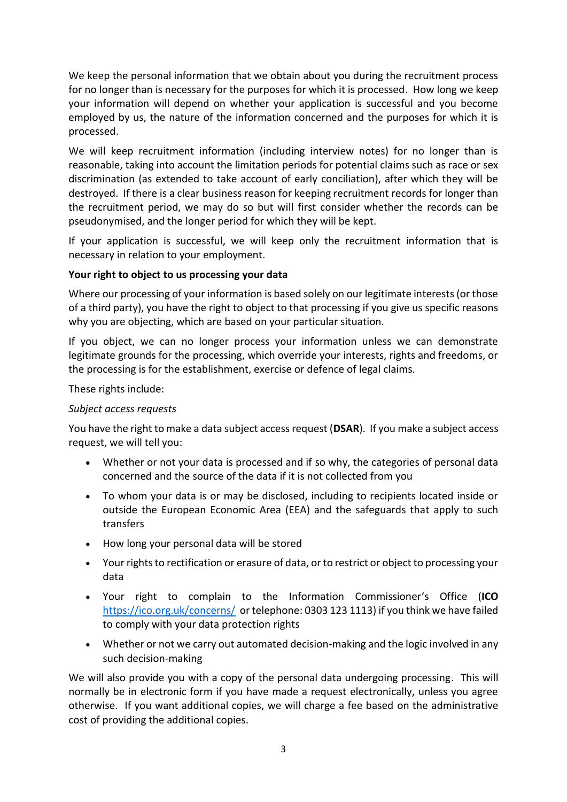We keep the personal information that we obtain about you during the recruitment process for no longer than is necessary for the purposes for which it is processed. How long we keep your information will depend on whether your application is successful and you become employed by us, the nature of the information concerned and the purposes for which it is processed.

We will keep recruitment information (including interview notes) for no longer than is reasonable, taking into account the limitation periods for potential claims such as race or sex discrimination (as extended to take account of early conciliation), after which they will be destroyed. If there is a clear business reason for keeping recruitment records for longer than the recruitment period, we may do so but will first consider whether the records can be pseudonymised, and the longer period for which they will be kept.

If your application is successful, we will keep only the recruitment information that is necessary in relation to your employment.

## **Your right to object to us processing your data**

Where our processing of your information is based solely on our legitimate interests (or those of a third party), you have the right to object to that processing if you give us specific reasons why you are objecting, which are based on your particular situation.

If you object, we can no longer process your information unless we can demonstrate legitimate grounds for the processing, which override your interests, rights and freedoms, or the processing is for the establishment, exercise or defence of legal claims.

These rights include:

## *Subject access requests*

You have the right to make a data subject access request (**DSAR**). If you make a subject access request, we will tell you:

- Whether or not your data is processed and if so why, the categories of personal data concerned and the source of the data if it is not collected from you
- To whom your data is or may be disclosed, including to recipients located inside or outside the European Economic Area (EEA) and the safeguards that apply to such transfers
- How long your personal data will be stored
- Your rights to rectification or erasure of data, or to restrict or object to processing your data
- Your right to complain to the Information Commissioner's Office (**ICO** <https://ico.org.uk/concerns/> or telephone: 0303 123 1113) if you think we have failed to comply with your data protection rights
- Whether or not we carry out automated decision-making and the logic involved in any such decision-making

We will also provide you with a copy of the personal data undergoing processing. This will normally be in electronic form if you have made a request electronically, unless you agree otherwise. If you want additional copies, we will charge a fee based on the administrative cost of providing the additional copies.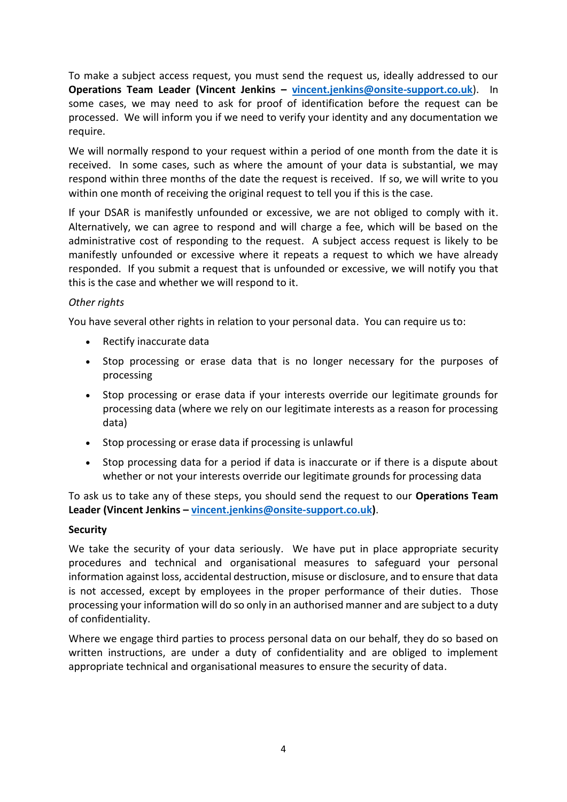To make a subject access request, you must send the request us, ideally addressed to our **Operations Team Leader (Vincent Jenkins – [vincent.jenkins@onsite-support.co.uk](mailto:vincent.jenkins@onsite-support.co.uk)**). In some cases, we may need to ask for proof of identification before the request can be processed. We will inform you if we need to verify your identity and any documentation we require.

We will normally respond to your request within a period of one month from the date it is received. In some cases, such as where the amount of your data is substantial, we may respond within three months of the date the request is received. If so, we will write to you within one month of receiving the original request to tell you if this is the case.

If your DSAR is manifestly unfounded or excessive, we are not obliged to comply with it. Alternatively, we can agree to respond and will charge a fee, which will be based on the administrative cost of responding to the request. A subject access request is likely to be manifestly unfounded or excessive where it repeats a request to which we have already responded. If you submit a request that is unfounded or excessive, we will notify you that this is the case and whether we will respond to it.

### *Other rights*

You have several other rights in relation to your personal data. You can require us to:

- Rectify inaccurate data
- Stop processing or erase data that is no longer necessary for the purposes of processing
- Stop processing or erase data if your interests override our legitimate grounds for processing data (where we rely on our legitimate interests as a reason for processing data)
- Stop processing or erase data if processing is unlawful
- Stop processing data for a period if data is inaccurate or if there is a dispute about whether or not your interests override our legitimate grounds for processing data

To ask us to take any of these steps, you should send the request to our **Operations Team Leader (Vincent Jenkins – [vincent.jenkins@onsite-support.co.uk\)](mailto:vincent.jenkins@onsite-support.co.uk)**.

#### **Security**

We take the security of your data seriously. We have put in place appropriate security procedures and technical and organisational measures to safeguard your personal information against loss, accidental destruction, misuse or disclosure, and to ensure that data is not accessed, except by employees in the proper performance of their duties. Those processing your information will do so only in an authorised manner and are subject to a duty of confidentiality.

Where we engage third parties to process personal data on our behalf, they do so based on written instructions, are under a duty of confidentiality and are obliged to implement appropriate technical and organisational measures to ensure the security of data.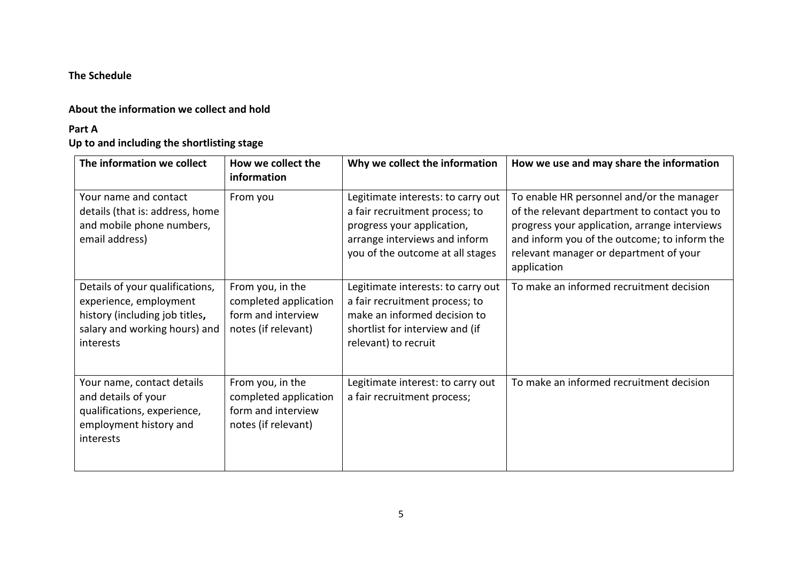## **The Schedule**

## **About the information we collect and hold**

#### **Part A**

# **Up to and including the shortlisting stage**

<span id="page-4-1"></span><span id="page-4-0"></span>

| The information we collect                                                                                                                | How we collect the<br>information                                                      | Why we collect the information                                                                                                                                          | How we use and may share the information                                                                                                                                                                                                            |
|-------------------------------------------------------------------------------------------------------------------------------------------|----------------------------------------------------------------------------------------|-------------------------------------------------------------------------------------------------------------------------------------------------------------------------|-----------------------------------------------------------------------------------------------------------------------------------------------------------------------------------------------------------------------------------------------------|
| Your name and contact<br>details (that is: address, home<br>and mobile phone numbers,<br>email address)                                   | From you                                                                               | Legitimate interests: to carry out<br>a fair recruitment process; to<br>progress your application,<br>arrange interviews and inform<br>you of the outcome at all stages | To enable HR personnel and/or the manager<br>of the relevant department to contact you to<br>progress your application, arrange interviews<br>and inform you of the outcome; to inform the<br>relevant manager or department of your<br>application |
| Details of your qualifications,<br>experience, employment<br>history (including job titles,<br>salary and working hours) and<br>interests | From you, in the<br>completed application<br>form and interview<br>notes (if relevant) | Legitimate interests: to carry out<br>a fair recruitment process; to<br>make an informed decision to<br>shortlist for interview and (if<br>relevant) to recruit         | To make an informed recruitment decision                                                                                                                                                                                                            |
| Your name, contact details<br>and details of your<br>qualifications, experience,<br>employment history and<br>interests                   | From you, in the<br>completed application<br>form and interview<br>notes (if relevant) | Legitimate interest: to carry out<br>a fair recruitment process;                                                                                                        | To make an informed recruitment decision                                                                                                                                                                                                            |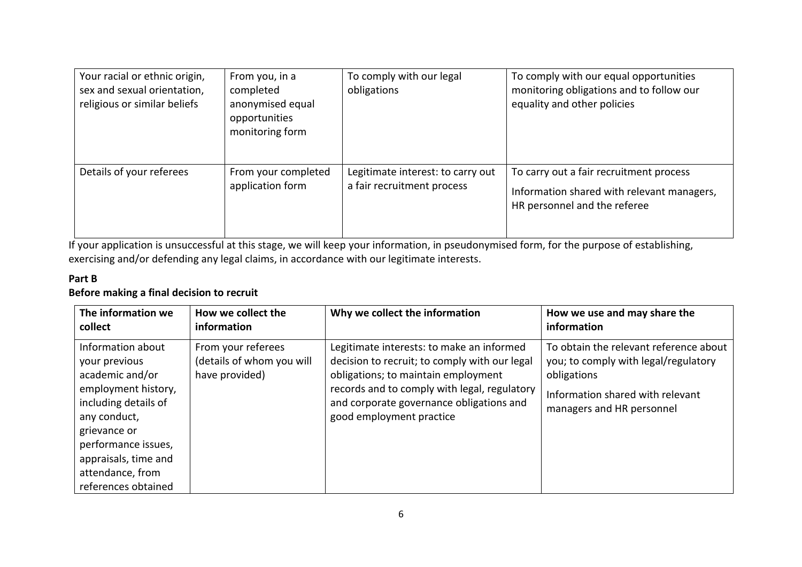| Your racial or ethnic origin,<br>sex and sexual orientation,<br>religious or similar beliefs | From you, in a<br>completed<br>anonymised equal<br>opportunities<br>monitoring form | To comply with our legal<br>obligations                         | To comply with our equal opportunities<br>monitoring obligations and to follow our<br>equality and other policies     |
|----------------------------------------------------------------------------------------------|-------------------------------------------------------------------------------------|-----------------------------------------------------------------|-----------------------------------------------------------------------------------------------------------------------|
| Details of your referees                                                                     | From your completed<br>application form                                             | Legitimate interest: to carry out<br>a fair recruitment process | To carry out a fair recruitment process<br>Information shared with relevant managers,<br>HR personnel and the referee |

If your application is unsuccessful at this stage, we will keep your information, in pseudonymised form, for the purpose of establishing, exercising and/or defending any legal claims, in accordance with our legitimate interests.

## **Part B Before making a final decision to recruit**

<span id="page-5-0"></span>

| The information we                                                                                                                                                                                                             | How we collect the                                                | Why we collect the information                                                                                                                                                                                                                            | How we use and may share the                                                                                                                                   |
|--------------------------------------------------------------------------------------------------------------------------------------------------------------------------------------------------------------------------------|-------------------------------------------------------------------|-----------------------------------------------------------------------------------------------------------------------------------------------------------------------------------------------------------------------------------------------------------|----------------------------------------------------------------------------------------------------------------------------------------------------------------|
| collect                                                                                                                                                                                                                        | information                                                       |                                                                                                                                                                                                                                                           | information                                                                                                                                                    |
| Information about<br>your previous<br>academic and/or<br>employment history,<br>including details of<br>any conduct,<br>grievance or<br>performance issues,<br>appraisals, time and<br>attendance, from<br>references obtained | From your referees<br>(details of whom you will<br>have provided) | Legitimate interests: to make an informed<br>decision to recruit; to comply with our legal<br>obligations; to maintain employment<br>records and to comply with legal, regulatory<br>and corporate governance obligations and<br>good employment practice | To obtain the relevant reference about<br>you; to comply with legal/regulatory<br>obligations<br>Information shared with relevant<br>managers and HR personnel |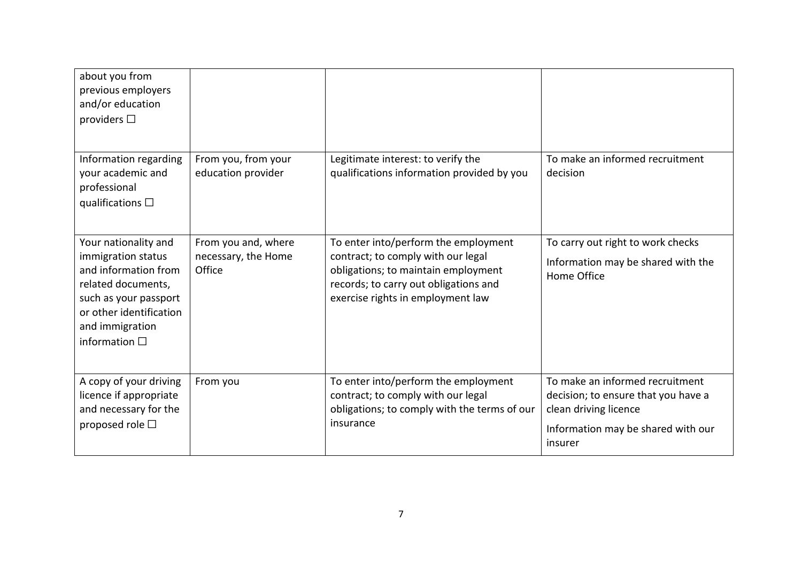| about you from<br>previous employers<br>and/or education<br>providers $\Box$                                                                                                             |                                                      |                                                                                                                                                                                                 |                                                                                                                                                  |
|------------------------------------------------------------------------------------------------------------------------------------------------------------------------------------------|------------------------------------------------------|-------------------------------------------------------------------------------------------------------------------------------------------------------------------------------------------------|--------------------------------------------------------------------------------------------------------------------------------------------------|
| Information regarding<br>your academic and<br>professional<br>qualifications $\Box$                                                                                                      | From you, from your<br>education provider            | Legitimate interest: to verify the<br>qualifications information provided by you                                                                                                                | To make an informed recruitment<br>decision                                                                                                      |
| Your nationality and<br>immigration status<br>and information from<br>related documents,<br>such as your passport<br>or other identification<br>and immigration<br>information $\square$ | From you and, where<br>necessary, the Home<br>Office | To enter into/perform the employment<br>contract; to comply with our legal<br>obligations; to maintain employment<br>records; to carry out obligations and<br>exercise rights in employment law | To carry out right to work checks<br>Information may be shared with the<br>Home Office                                                           |
| A copy of your driving<br>licence if appropriate<br>and necessary for the<br>proposed role $\square$                                                                                     | From you                                             | To enter into/perform the employment<br>contract; to comply with our legal<br>obligations; to comply with the terms of our<br>insurance                                                         | To make an informed recruitment<br>decision; to ensure that you have a<br>clean driving licence<br>Information may be shared with our<br>insurer |